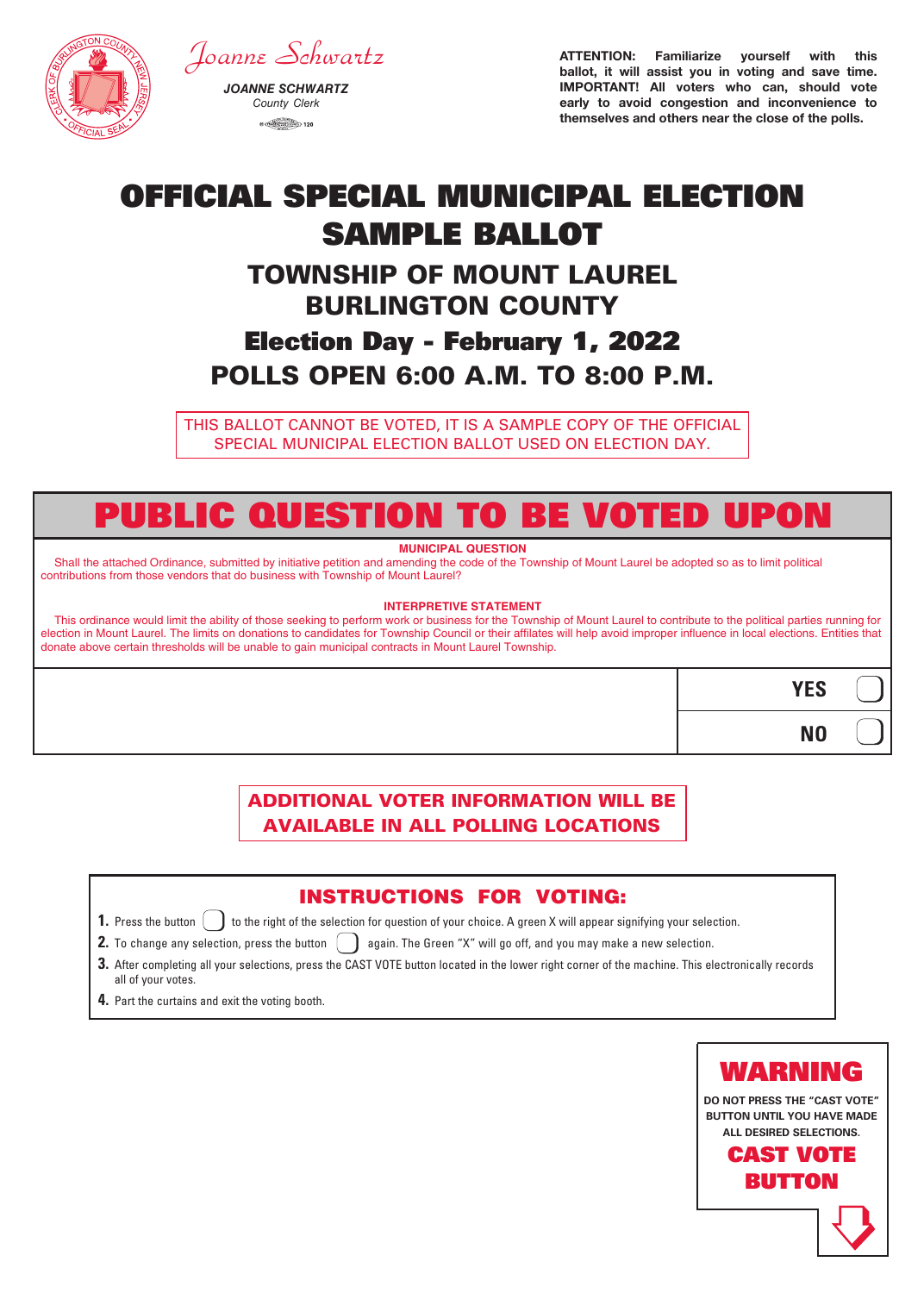

# *Joanne Schwartz*

*JOANNE SCHWARTZ County Clerk*  $\circ$  (mass  $\frac{\text{max}}{\text{max}}$  120

ATTENTION: Familiarize yourself with this ballot, it will assist you in voting and save time. IMPORTANT! All voters who can, should vote early to avoid congestion and inconvenience to themselves and others near the close of the polls.

# OFFICIAL SPECIAL MUNICIPAL ELECTION SAMPLE BALLOT

## TOWNSHIP OF MOUNT LAUREL BURLINGTON COUNTY

## Election Day - February 1, 2022 POLLS OPEN 6:00 A.M. TO 8:00 P.M.

THIS BALLOT CANNOT BE VOTED, IT IS A SAMPLE COPY OF THE OFFICIAL SPECIAL MUNICIPAL ELECTION BALLOT USED ON ELECTION DAY.

# PUBLIC QUESTION TO BE VOTED UPON

### **MUNICIPAL QUESTION**

Shall the attached Ordinance, submitted by initiative petition and amending the code of the Township of Mount Laurel be adopted so as to limit political contributions from those vendors that do business with Township of Mount Laurel?

#### **INTERPRETIVE STATEMENT**

This ordinance would limit the ability of those seeking to perform work or business for the Township of Mount Laurel to contribute to the political parties running for election in Mount Laurel. The limits on donations to candidates for Township Council or their affilates will help avoid improper influence in local elections. Entities that donate above certain thresholds will be unable to gain municipal contracts in Mount Laurel Township.

# **YES NO**

## ADDITIONAL VOTER INFORMATION WILL BE AVAILABLE IN ALL POLLING LOCATIONS

## INSTRUCTIONS FOR VOTING:

- **1.** Press the button  $\begin{bmatrix} \cdot \end{bmatrix}$  to the right of the selection for question of your choice. A green X will appear signifying your selection.
- **2.** To change any selection, press the button  $\Box$  again. The Green "X" will go off, and you may make a new selection.
- **3.** After completing all your selections, press the CAST VOTE button located in the lower right corner of the machine. This electronically records all of your votes.
- **4.** Part the curtains and exit the voting booth.



**DO NOT PRESS THE "CAST VOTE" BUTTON UNTIL YOU HAVE MADE ALL DESIRED SELECTIONS.**



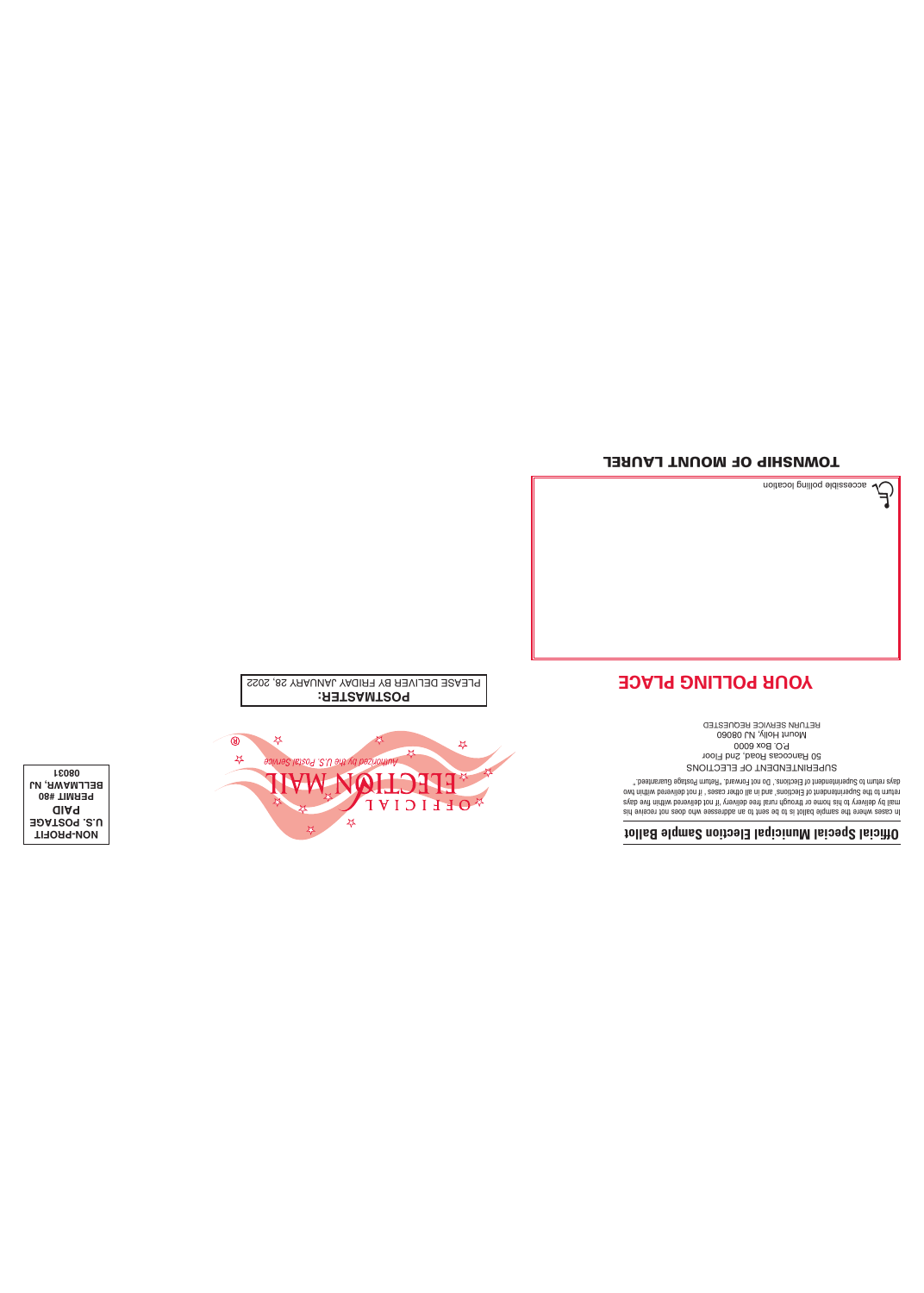### TOWNSHIP OF MOUNT LAUREL



### **YOUR POLLING PLACE**



\*OFFICIAL

PLEASE DELIVER BY FRIDAY JANUARY 28, 2022

 $\begin{matrix} \mathbf{M} \end{matrix}$ 

 $\frac{1}{2}$ 

 $\frac{1}{2}$ 

 $\frac{1}{2}$ 

**NON-PROFIT U.S. POSTAGE PAID PERMIT #80 BELLMAWR, NJ 08031**

Mount Holly, NJ 08060 RETURN SERVICE REQUESTED

SUPERINTENDENT OF ELECTIONS 50 Rancocas Road, 2nd Floor P.O. Box 6000

h osob bun eseabo anno assamba in sei anns ed of a follad elqmas ent environment and open the seise of a follo<br>experiment and a format and a format and the select of a format and a format and the properties of a format an<br>

**Official Special Municipal Election Sample Ballot**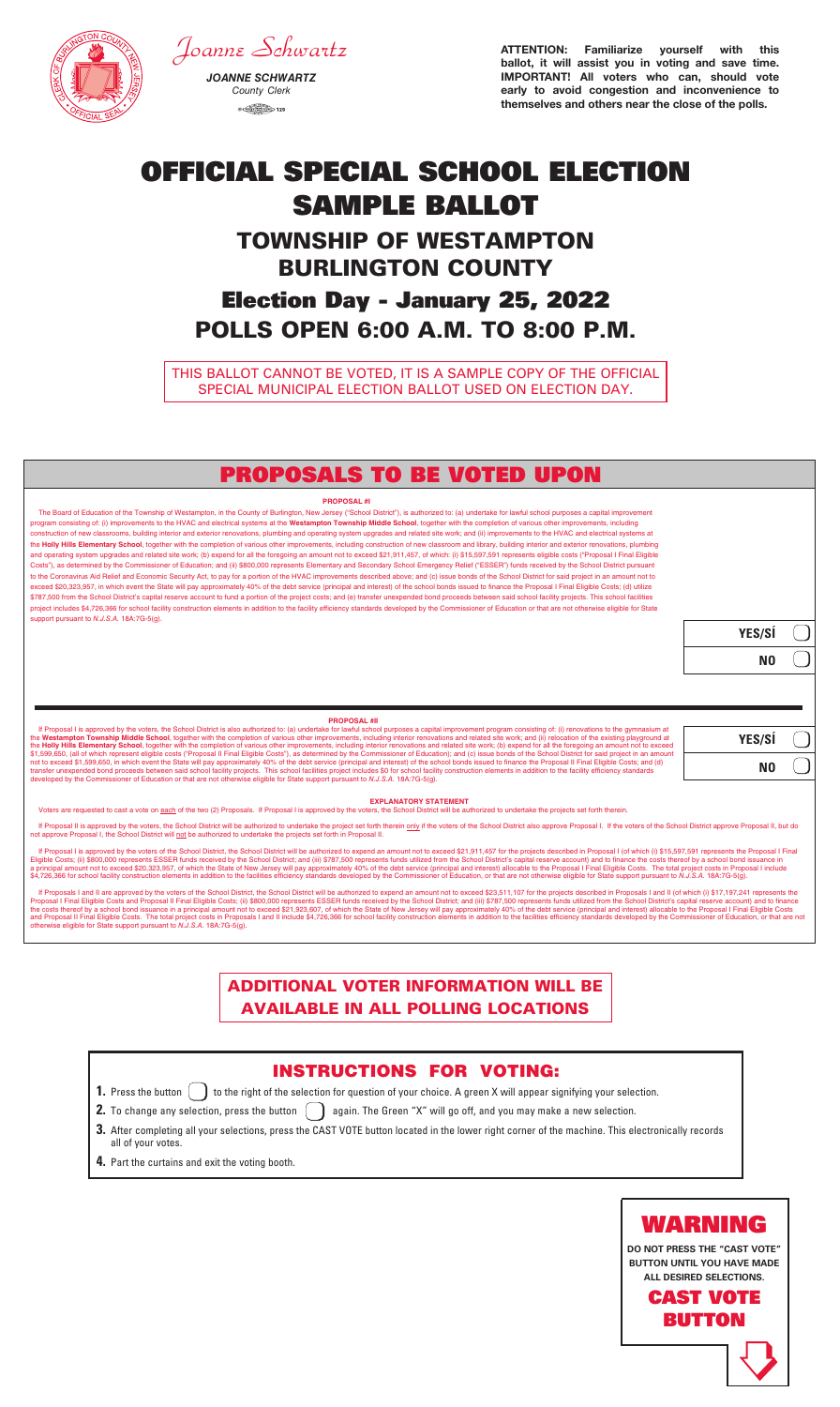*JOANNE SCHWARTZ County Clerk*  $\circledcirc$  (mass  $\circledcirc$  and  $\circledcirc$  120



*Joanne Schwartz*



**DO NOT PRESS THE "CAST VOTE" BUTTON UNTIL YOU HAVE MADE ALL DESIRED SELECTIONS.**

> CAST VOTE BUTTON



ATTENTION: Familiarize yourself with this ballot, it will assist you in voting and save time. IMPORTANT! All voters who can, should vote early to avoid congestion and inconvenience to themselves and others near the close of the polls.

# OFFICIAL SPECIAL SCHOOL ELECTION SAMPLE BALLOT TOWNSHIP OF WESTAMPTON BURLINGTON COUNTY Election Day - January 25, 2022 POLLS OPEN 6:00 A.M. TO 8:00 P.M.

THIS BALLOT CANNOT BE VOTED, IT IS A SAMPLE COPY OF THE OFFICIAL SPECIAL MUNICIPAL ELECTION BALLOT USED ON ELECTION DAY. **TOWAS MONITOR AS ELECTRON BALLOT OCED ON ELECTRON BA** 

## ADDITIONAL VOTER INFORMATION WILL BE AVAILABLE IN ALL POLLING LOCATIONS

- **2.** To change any selection, press the button  $\;\bigcup\;$  again. The Green "X" will go off, and you may make a new selection.
- $\bf 3.$  After completing all your selections, press the CAST VOTE button located in the lower right corner of the machine. This electronically records all of your votes. all of your votes.
- **4.** Part the curtains and exit the voting booth. **4.** Part the curtains and exit the voting booth.



**1.** Press the button  $\bigcup$  to the right of the selection for question of your choice. A green X will appear signifying your selection.

#### **PROPOSAL #I**

The Board of Education of the Township of Westampton, in the County of Burlington, New Jersey ("School District"), is authorized to: (a) undertake for lawful school purposes a capital improvement program consisting of: (i) improvements to the HVAC and electrical systems at the **Westampton Township Middle School**, together with the completion of various other improvements, including construction of new classrooms, building interior and exterior renovations, plumbing and operating system upgrades and related site work; and (ii) improvements to the HVAC and electrical systems at the **Holly Hills Elementary School**, together with the completion of various other improvements, including construction of new classroom and library, building interior and exterior renovations, plumbing and operating system upgrades and related site work; (b) expend for all the foregoing an amount not to exceed \$21,911,457, of which: (i) \$15,597,591 represents eligible costs ("Proposal I Final Eligible Costs"), as determined by the Commissioner of Education; and (ii) \$800,000 represents Elementary and Secondary School Emergency Relief ("ESSER") funds received by the School District pursuant to the Coronavirus Aid Relief and Economic Security Act, to pay for a portion of the HVAC improvements described above; and (c) issue bonds of the School District for said project in an amount not to exceed \$20,323,957, in which event the State will pay approximately 40% of the debt service (principal and interest) of the school bonds issued to finance the Proposal I Final Eligible Costs; (d) utilize \$787,500 from the School District's capital reserve account to fund a portion of the project costs; and (e) transfer unexpended bond proceeds between said school facility projects. This school facilities project includes \$4,726,366 for school facility construction elements in addition to the facility efficiency standards developed by the Commissioner of Education or that are not otherwise eligible for State support pursuant to *N.J.S.A.* 18A:7G-5(g).

If Proposals I and II are approved by the voters of the School District, the School District, the School District will be authorized to expend an amount not to exceed \$23,511,107 for the projects described in Proposals I a Proposal I Final Eligible Costs and Proposal II Final Eligible Costs; (ii) \$800,000 represents ESSER funds received by the School District; and (iii) \$787,500 represents funds utilized from the School District's capital re otherwise eligible for State support pursuant to *N.J.S.A.* 18A:7G-5(g).

## PROPOSALS TO BE VOTED UPON

| YES/SÍ |  |
|--------|--|
| N0     |  |

#### **EXPLANATORY STATEMENT**

Voters are requested to cast a vote on each of the two (2) Proposals. If Proposal I is approved by the voters, the School District will be authorized to undertake the projects set forth therein.

If Proposal II is approved by the voters, the School District will be authorized to undertake the project set forth therein only if the voters of the School District also approve Proposal I. If the voters of the School Dis not approve Proposal I, the School District will not be authorized to undertake the projects set forth in Proposal II.

If Proposal I is approved by the voters of the School District, the School District will be authorized to expend an amount not to exceed \$21,911,457 for the projects described in Proposal I (of which (i) \$15,597,591 repres Eligible Costs; (ii) \$800,000 represents ESSER funds received by the School District; and (iii) \$787,500 represents funds utilized from the School District's capital reserve account) and to finance the costs thereof by a s \$4,726,366 for school facility construction elements in addition to the facilities efficiency standards developed by the Commissioner of Education, or that are not otherwise eligible for State support pursuant to N.J.S.A.

#### **PROPOSAL #II**

If Proposal I is approved by the voters, the School District is also authorized to: (a) undertake for lawful school purposes a capital improvement program consisting of: (i) renovations to the gymnasium at the Westampton Township Middle School, together with the completion of various other improvements, including interior renovations and related site work; and (ii) relocation of the existing playground at<br>the Holly Hills Ele \$1,599,650, (all of which represent eligible costs ("Proposal II Final Eligible Costs"), as determined by the Commissioner of Education); and (c) issue bonds of the School District for said project in an amount not to exceed \$1,599,650, in which event the State will pay approximately 40% of the debt service (principal and interest) of the school bonds issued to finance the Proposal II Final Eligible Costs; and (d) transfer unexpended bond proceeds between said school facility projects. This school facilities project includes \$0 for school facility construction elements in addition to the facility efficiency standards<br>developed by th

| YES/SÍ |  |
|--------|--|
| N0     |  |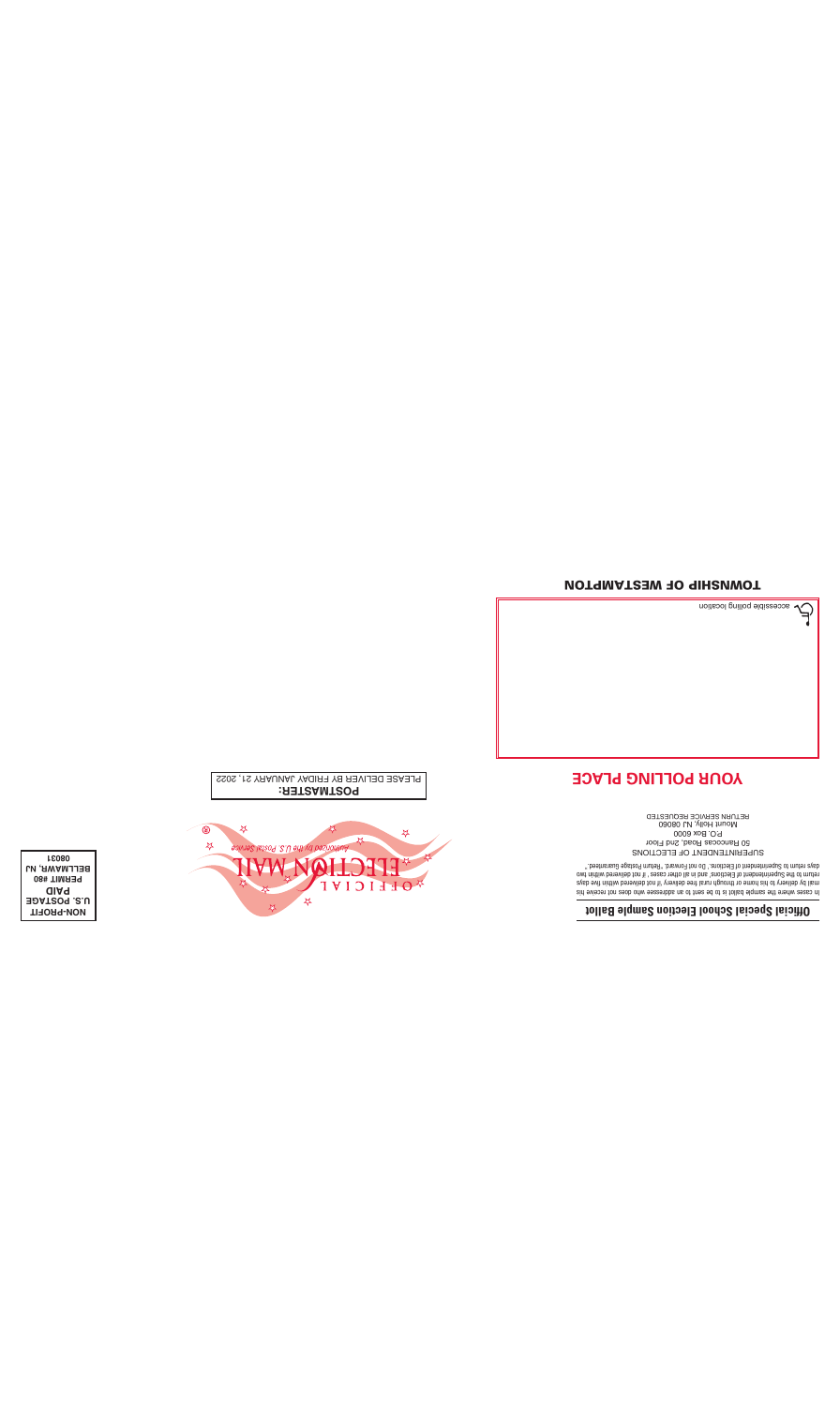



### **Official Special School Election Sample Ballot**

hi sebuah mengunakan sebagai pengunakan sebagai pengunakan sebagai pertempat sebagai pertempat sebagai sebagai<br>Pertempat sebagai pertempat sebagai sebagai sebagai sebagai sebagai sebagai sebagai sebagai sebagai sebagai se<br> SUPERINTENDENT OF ELECTIONS

50 Rancocas Road, 2nd Floor P.O. Box 6000 Mount Holly, NJ 08060 RETURN SERVICE REQUESTED

### **YOUR POLLING PLACE**



**POSTMASTER:** PLEASE DELIVER BY FRIDAY JANUARY 21, 2022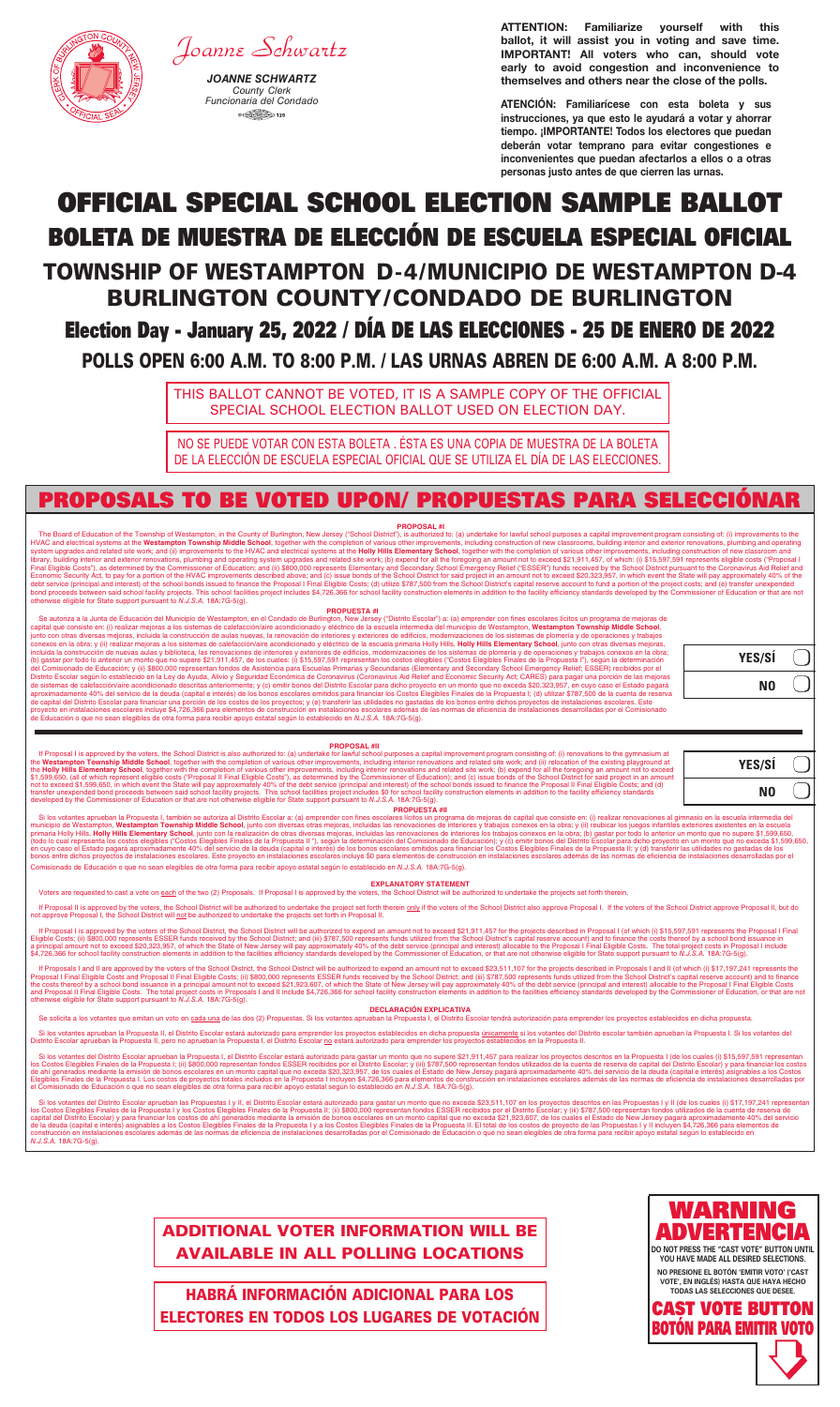# OFFICIAL SPECIAL SCHOOL ELECTION SAMPLE BALLOT BOLETA DE MUESTRA DE ELECCIÓN DE ESCUELA ESPECIAL OFICIAL TOWNSHIP OF WESTAMPTON D-4/MUNICIPIO DE WESTAMPTON D-4

# BURLINGTON COUNTY/CONDADO DE BURLINGTON

# Election Day - January 25, 2022 / DÍA DE LAS ELECCIONES - 25 DE ENERO DE 2022

POLLS OPEN 6:00 A.M. TO 8:00 P.M. / LAS URNAS ABREN DE 6:00 A.M. A 8:00 P.M.



# *Joanne Schwartz*

ATTENTION: Familiarize yourself with this ballot, it will assist you in voting and save time. IMPORTANT! All voters who can, should vote early to avoid congestion and inconvenience to themselves and others near the close of the polls.

*JOANNE SCHWARTZ County Clerk Funcionaria del Condado* **B** CHARGES (THE COUNCIL) 120

NO SE PUEDE VOTAR CON ESTA BOLETA . ÉSTA ES UNA COPIA DE MUESTRA DE LA BOLETA **de la política de la municipal de mu** DE LA ELECCIÓN DE ESCUELA ESPECIAL OFICIAL QUE SE UTILIZA EL DÍA DE LAS ELECCIONES.

THIS BALLOT CANNOT BE VOTED, IT IS A SAMPLE COPY OF THE OFFICIAL SPECIAL SCHOOL ELECTION BALLOT USED ON ELECTION DAY.

ATENCIÓN: Familiarícese con esta boleta y sus instrucciones, ya que esto le ayudará a votar y ahorrar tiempo. ¡IMPORTANTE! Todos los electores que puedan deberán votar temprano para evitar congestiones e inconvenientes que puedan afectarlos a ellos o a otras personas justo antes de que cierren las urnas.

**NO PRESIONE EL BOTÓN 'EMITIR VOTO' ('CAST 3.** Después de haber realizado todas sus selecciones, presione el botón EMITIR VOTO (CAST VOTE, en inglés), ubicado en la esquina inferior derecha **VOTE', EN INGLÉS) HASTA QUE HAYA HECHO TODAS LAS SELECCIONES QUE DESEE.**





ADDITIONAL VOTER INFORMATION WILL BE AVAILABLE IN ALL POLLING LOCATIONS **1. Presidente el presidente el presidente el presidente el presidente el presidente el presidente el president<br>
<b>1. Presidente el presidente el presidente el presidente el presidente el presidente el presidente el preside** INSTRUCTIONS FOR VOTING: **1.** Press the button to the right of the selection for question of your choice. A green X will appear signifying your selection. **2.** To change any selection, press the button again. The Green "X" will go off, and you may make a new selection.

> HABRÁ INFORMACIÓN ADICIONAL PARA LOS ELECTORES EN TODOS LOS LUGARES DE VOTACIÓN **GIUNAL FANA LUJ VIII DESCORRA LA CASETA DE LA CASETA DE LA CASETA DE VOLTAG DE VOLTAG DE VOTACIÓN.**

Si los votantes aprueban la Propuesta I, también se autoriza al Distrito Escolar a: (a) emprender con fines escolares lícitos un programa de mejoras de capital que consiste en: (i) realizar renovaciones al gimnasio en la e Comisionado de Educación o que no sean elegibles de otra forma para recibir apoyo estatal según lo establecido en *N.J.S.A.* 18A:7G-5(g).

### **PROPUESTA #II**

#### **EXPLANATORY STATEMENT**

Voters are requested to cast a vote on each of the two (2) Proposals. If Proposal I is approved by the voters, the School District will be authorized to undertake the projects set forth therein.

If Proposal II is approved by the voters, the School District will be authorized to undertake the project set forth therein only if the voters of the School District also approve Proposal I. If the voters of the School Dis

If Proposal I is approved by the voters of the School District, the School District will be authorized to expend an amount not to exceed \$21,911,457 for the projects described in Proposal I (of which (i) \$15,597,591 repres

If Proposals I and II are approved by the voters of the School District, the School District will be authorized to expend an amount not to exceed \$23,511,107 for the projects described in Proposals I and II (of which (i) \$ Proposal I Final Eligible Costs and Proposal II Final Eligible Costs; (ii) \$800,000 represents ESSER funds received by the School District; and (iii) \$787,500 represents funds utilized from the School District's capital re

Si los votantes del Distrito Escolar aprueban la Propuesta I, el Distrito Escolar estará autorizado para gastar un monto que no supere \$21,911,457 para realizar los proyectos descritos en la Propuesta I (de los cuales (i) el Comisionado de Educación o que no sean elegibles de otra forma para recibir apoyo estatal según lo establecido en *N.J.S.A.* 18A:7G-5(g).

Si los votantes del Distrito Escolar aprueban las Propuestas I y II, el Distrito Escolar estará autorizado para gastar un monto que no exceda \$23,511,107 en los proyectos descritos en las Propuestas I y II (de los cuales ( de la deuda (capital e interés) asignables a los Costos Elegibles Finales de la Propuesta I y a los Costos Elegibles Finales de la Propuesta II. El total de los costos de proyecto de las Propuestas I y II incluyen \$4,726,3 instalaciones escolares además de las normas de eficiencia de instalaciones desarrolladas por el Comisionado de Educación o que no sean elegibles de otra forma para recibir apóyo estatal según lo establecido en *N.J.S.A.* 18A:7G-5(g).



**2. Para cambiar cualquier se el presione de la XX verde de la XX verde de la XX verde de la XX verde de la XX v<br>La XX verde alle desired selections.** 

The Board of Education of the Township of Westampton, in the County of Burlington, New Jersey ("School District"), is authorized to: (a) undertake for lawful school purposes a capital improvement program consisting of: (i) system upgrades and related site work; and (ii) improvements to the HVAC and electrical systems at the **Holly Hills Elementary School**, together with the completion of various other improvements, including construction of Economic Security Act, to pay for a portion of the HVAC improvements described above; and (c) issue bonds of the School District for said project in an amount not to exceed \$20,323,957, in which event the State will pay ap bond proceeds between said school facility projects. This school facilities project includes \$4,726,366 for school facility construction elements in addition to the facility efficiency standards developed by the Commission otherwise eligible for State support pursuant to *N.J.S.A.* 18A:7G-5(g).

#### **DECLARACIÓN EXPLICATIVA**

Se solicita a los votantes que emitan un voto en cada una de las dos (2) Propuestas. Si los votantes aprueban la Propuesta I, el Distrito Escolar tendrá autorización para emprender los proyectos establecidos en dicha propu

Si los votantes aprueban la Propuesta II, el Distrito Escolar estará autorizado para emprender los proyectos establecidos en dicha propuesta únicamente si los votantes del Distrito escolar también aprueban la Propuesta I. Distrito Escolar aprueban la Propuesta II, pero no aprueban la Propuesta I, el Distrito Escolar no estará autorizado para emprender los proyectos establecidos en la Propuesta II.

Se autoriza a la Junta de Educación del Municipio de Westampton, en el Condado de Burlington, New Jersey ("Distrito Escolar") a: (a) emprender con fines escolares lícitos un programa de mejoras de<br>Capital que consiste en: junto con otras diversas mejoras, incluida la construcción de aulas nuevas, la renovación de interiores y exteriores de edificios, modernizaciones de los sistemas de plomería y de operaciones y trabajos<br>conexos en la obra; (b) gastar por todo lo anterior un monto que no supere \$21,911,457, de los cuales: (i) \$15,597,591 representan los costos elegibles ("Costos Elegibles Finales de la Propuesta I"), según la determinación<br>del Comisionado de Distrito Escolar según lo establecido en la Ley de Ayuda, Alivio y Seguridad Económica de Coronavirus (Coronavirus Aid Relief and Economic Security Act; CARES) para pagar una porción de las mejoras<br>de sistemas de calefacci proyecto en instalaciones escolares incluye \$4,726,366 para elementos de construcción en instalaciones escolares además de las normas de eficiencia de instalaciones desarrolladas por el Comisionado de Educación o que no sean elegibles de otra forma para recibir apoyo estatal según lo establecido en *N.J.S.A.* 18A:7G-5(g).

## PROPOSALS TO BE VOTED UPON/ PROPUESTAS PARA SELECCIÓNAR

| YES/SÍ         |  |
|----------------|--|
| N <sub>0</sub> |  |

| YES/SÍ |  |
|--------|--|
|        |  |

**NO**

#### **PROPOSAL #I**

#### **PROPOSAL #II**

If Proposal I is approved by the voters, the School District is also authorized to: (a) undertake for lawful school purposes a capital improvement program consisting of: (i) renovations to the gymnasium at the Westampton T \$1,599,650, (all of which represent eligible costs ("Proposal II Final Eligible Costs"), as determined by the Commissioner of Education); and (c) issue bonds of the School District for said project in an amount<br>not to exce

#### **PROPUESTA #I**